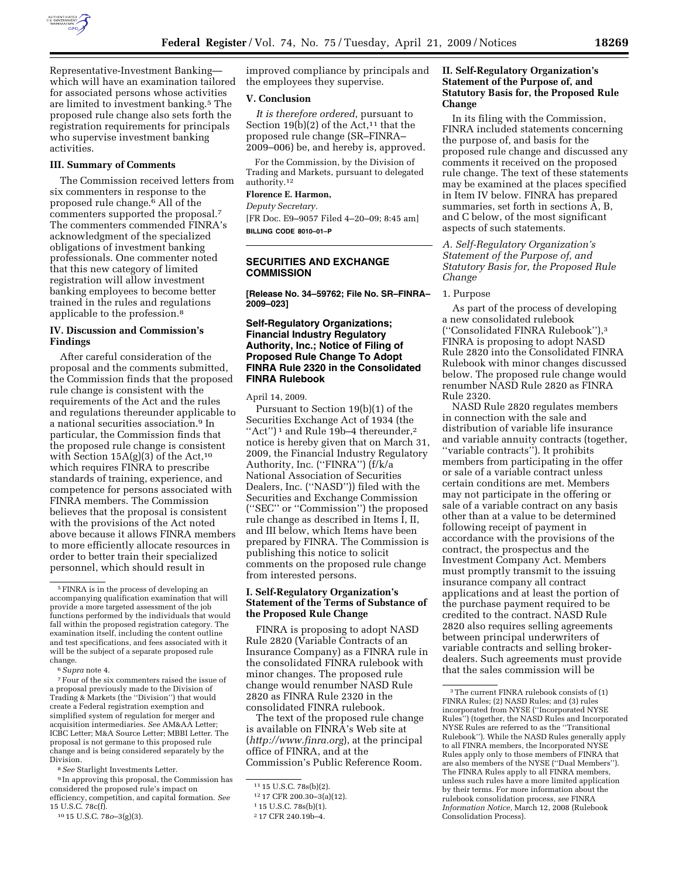

Representative-Investment Banking which will have an examination tailored for associated persons whose activities are limited to investment banking.5 The proposed rule change also sets forth the registration requirements for principals who supervise investment banking activities.

#### **III. Summary of Comments**

The Commission received letters from six commenters in response to the proposed rule change.6 All of the commenters supported the proposal.<sup>7</sup> The commenters commended FINRA's acknowledgment of the specialized obligations of investment banking professionals. One commenter noted that this new category of limited registration will allow investment banking employees to become better trained in the rules and regulations applicable to the profession.8

# **IV. Discussion and Commission's Findings**

After careful consideration of the proposal and the comments submitted, the Commission finds that the proposed rule change is consistent with the requirements of the Act and the rules and regulations thereunder applicable to a national securities association.9 In particular, the Commission finds that the proposed rule change is consistent with Section  $15A(g)(3)$  of the Act,<sup>10</sup> which requires FINRA to prescribe standards of training, experience, and competence for persons associated with FINRA members. The Commission believes that the proposal is consistent with the provisions of the Act noted above because it allows FINRA members to more efficiently allocate resources in order to better train their specialized personnel, which should result in

6*Supra* note 4.

7Four of the six commenters raised the issue of a proposal previously made to the Division of Trading & Markets (the ''Division'') that would create a Federal registration exemption and simplified system of regulation for merger and acquisition intermediaries. *See* AM&AA Letter; ICBC Letter; M&A Source Letter; MBBI Letter. The proposal is not germane to this proposed rule change and is being considered separately by the Division.

8*See* Starlight Investments Letter.

9 In approving this proposal, the Commission has considered the proposed rule's impact on efficiency, competition, and capital formation. *See*  15 U.S.C. 78c(f).

10 15 U.S.C. 78*o*–3(g)(3).

improved compliance by principals and the employees they supervise.

#### **V. Conclusion**

*It is therefore ordered*, pursuant to Section 19(b)(2) of the Act,<sup>11</sup> that the proposed rule change (SR–FINRA– 2009–006) be, and hereby is, approved.

For the Commission, by the Division of Trading and Markets, pursuant to delegated authority.12

### **Florence E. Harmon,**

*Deputy Secretary.*  [FR Doc. E9–9057 Filed 4–20–09; 8:45 am] **BILLING CODE 8010–01–P** 

### **SECURITIES AND EXCHANGE COMMISSION**

**[Release No. 34–59762; File No. SR–FINRA– 2009–023]** 

# **Self-Regulatory Organizations; Financial Industry Regulatory Authority, Inc.; Notice of Filing of Proposed Rule Change To Adopt FINRA Rule 2320 in the Consolidated FINRA Rulebook**

April 14, 2009.

Pursuant to Section 19(b)(1) of the Securities Exchange Act of 1934 (the "Act")<sup>1</sup> and Rule 19b-4 thereunder,<sup>2</sup> notice is hereby given that on March 31, 2009, the Financial Industry Regulatory Authority, Inc. (''FINRA'') (f/k/a National Association of Securities Dealers, Inc. (''NASD'')) filed with the Securities and Exchange Commission (''SEC'' or ''Commission'') the proposed rule change as described in Items I, II, and III below, which Items have been prepared by FINRA. The Commission is publishing this notice to solicit comments on the proposed rule change from interested persons.

# **I. Self-Regulatory Organization's Statement of the Terms of Substance of the Proposed Rule Change**

FINRA is proposing to adopt NASD Rule 2820 (Variable Contracts of an Insurance Company) as a FINRA rule in the consolidated FINRA rulebook with minor changes. The proposed rule change would renumber NASD Rule 2820 as FINRA Rule 2320 in the consolidated FINRA rulebook.

The text of the proposed rule change is available on FINRA's Web site at (*http://www.finra.org*), at the principal office of FINRA, and at the Commission's Public Reference Room.

### **II. Self-Regulatory Organization's Statement of the Purpose of, and Statutory Basis for, the Proposed Rule Change**

In its filing with the Commission, FINRA included statements concerning the purpose of, and basis for the proposed rule change and discussed any comments it received on the proposed rule change. The text of these statements may be examined at the places specified in Item IV below. FINRA has prepared summaries, set forth in sections A, B, and C below, of the most significant aspects of such statements.

*A. Self-Regulatory Organization's Statement of the Purpose of, and Statutory Basis for, the Proposed Rule Change* 

#### 1. Purpose

As part of the process of developing a new consolidated rulebook (''Consolidated FINRA Rulebook''),3 FINRA is proposing to adopt NASD Rule 2820 into the Consolidated FINRA Rulebook with minor changes discussed below. The proposed rule change would renumber NASD Rule 2820 as FINRA Rule 2320.

NASD Rule 2820 regulates members in connection with the sale and distribution of variable life insurance and variable annuity contracts (together, ''variable contracts''). It prohibits members from participating in the offer or sale of a variable contract unless certain conditions are met. Members may not participate in the offering or sale of a variable contract on any basis other than at a value to be determined following receipt of payment in accordance with the provisions of the contract, the prospectus and the Investment Company Act. Members must promptly transmit to the issuing insurance company all contract applications and at least the portion of the purchase payment required to be credited to the contract. NASD Rule 2820 also requires selling agreements between principal underwriters of variable contracts and selling brokerdealers. Such agreements must provide that the sales commission will be

<sup>5</sup>FINRA is in the process of developing an accompanying qualification examination that will provide a more targeted assessment of the job functions performed by the individuals that would fall within the proposed registration category. The examination itself, including the content outline and test specifications, and fees associated with it will be the subject of a separate proposed rule change.

<sup>11</sup> 15 U.S.C. 78s(b)(2).

<sup>12</sup> 17 CFR 200.30–3(a)(12).

<sup>1</sup> 15 U.S.C. 78s(b)(1).

<sup>2</sup> 17 CFR 240.19b–4.

<sup>3</sup>The current FINRA rulebook consists of (1) FINRA Rules; (2) NASD Rules; and (3) rules incorporated from NYSE (''Incorporated NYSE Rules'') (together, the NASD Rules and Incorporated NYSE Rules are referred to as the ''Transitional Rulebook''). While the NASD Rules generally apply to all FINRA members, the Incorporated NYSE Rules apply only to those members of FINRA that are also members of the NYSE (''Dual Members''). The FINRA Rules apply to all FINRA members, unless such rules have a more limited application by their terms. For more information about the rulebook consolidation process, *see* FINRA *Information Notice,* March 12, 2008 (Rulebook Consolidation Process).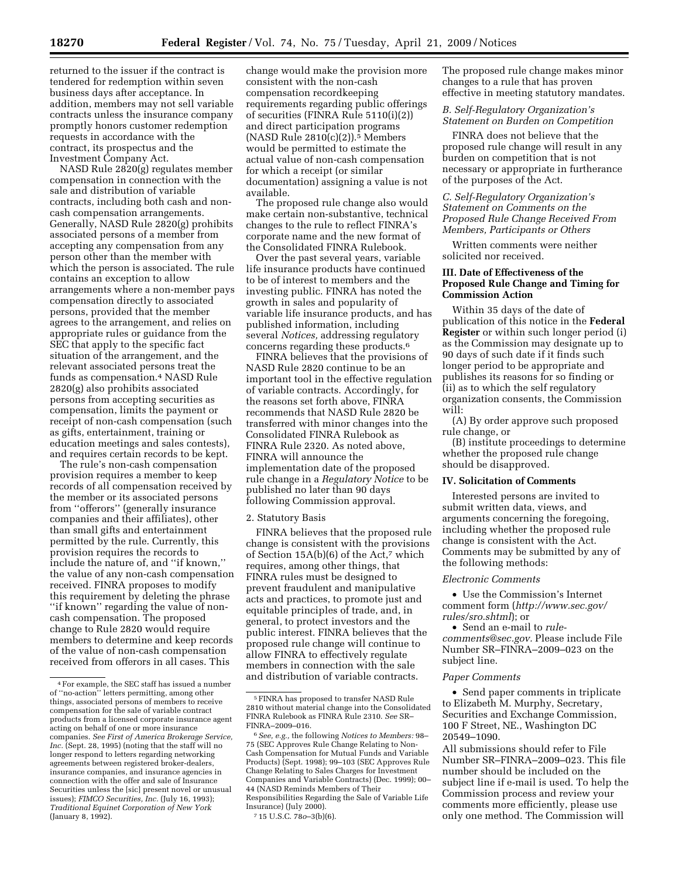returned to the issuer if the contract is tendered for redemption within seven business days after acceptance. In addition, members may not sell variable contracts unless the insurance company promptly honors customer redemption requests in accordance with the contract, its prospectus and the Investment Company Act.

NASD Rule 2820(g) regulates member compensation in connection with the sale and distribution of variable contracts, including both cash and noncash compensation arrangements. Generally, NASD Rule 2820(g) prohibits associated persons of a member from accepting any compensation from any person other than the member with which the person is associated. The rule contains an exception to allow arrangements where a non-member pays compensation directly to associated persons, provided that the member agrees to the arrangement, and relies on appropriate rules or guidance from the SEC that apply to the specific fact situation of the arrangement, and the relevant associated persons treat the funds as compensation.4 NASD Rule 2820(g) also prohibits associated persons from accepting securities as compensation, limits the payment or receipt of non-cash compensation (such as gifts, entertainment, training or education meetings and sales contests), and requires certain records to be kept.

The rule's non-cash compensation provision requires a member to keep records of all compensation received by the member or its associated persons from ''offerors'' (generally insurance companies and their affiliates), other than small gifts and entertainment permitted by the rule. Currently, this provision requires the records to include the nature of, and ''if known,'' the value of any non-cash compensation received. FINRA proposes to modify this requirement by deleting the phrase ''if known'' regarding the value of noncash compensation. The proposed change to Rule 2820 would require members to determine and keep records of the value of non-cash compensation received from offerors in all cases. This

change would make the provision more consistent with the non-cash compensation recordkeeping requirements regarding public offerings of securities (FINRA Rule 5110(i)(2)) and direct participation programs  $(NASD Rule 2810(c)(2)).$ <sup>5</sup> Members would be permitted to estimate the actual value of non-cash compensation for which a receipt (or similar documentation) assigning a value is not available.

The proposed rule change also would make certain non-substantive, technical changes to the rule to reflect FINRA's corporate name and the new format of the Consolidated FINRA Rulebook.

Over the past several years, variable life insurance products have continued to be of interest to members and the investing public. FINRA has noted the growth in sales and popularity of variable life insurance products, and has published information, including several *Notices,* addressing regulatory concerns regarding these products.6

FINRA believes that the provisions of NASD Rule 2820 continue to be an important tool in the effective regulation of variable contracts. Accordingly, for the reasons set forth above, FINRA recommends that NASD Rule 2820 be transferred with minor changes into the Consolidated FINRA Rulebook as FINRA Rule 2320. As noted above, FINRA will announce the implementation date of the proposed rule change in a *Regulatory Notice* to be published no later than 90 days following Commission approval.

#### 2. Statutory Basis

FINRA believes that the proposed rule change is consistent with the provisions of Section 15A(b)(6) of the Act,7 which requires, among other things, that FINRA rules must be designed to prevent fraudulent and manipulative acts and practices, to promote just and equitable principles of trade, and, in general, to protect investors and the public interest. FINRA believes that the proposed rule change will continue to allow FINRA to effectively regulate members in connection with the sale and distribution of variable contracts.

The proposed rule change makes minor changes to a rule that has proven effective in meeting statutory mandates.

#### *B. Self-Regulatory Organization's Statement on Burden on Competition*

FINRA does not believe that the proposed rule change will result in any burden on competition that is not necessary or appropriate in furtherance of the purposes of the Act.

### *C. Self-Regulatory Organization's Statement on Comments on the Proposed Rule Change Received From Members, Participants or Others*

Written comments were neither solicited nor received.

# **III. Date of Effectiveness of the Proposed Rule Change and Timing for Commission Action**

Within 35 days of the date of publication of this notice in the **Federal Register** or within such longer period (i) as the Commission may designate up to 90 days of such date if it finds such longer period to be appropriate and publishes its reasons for so finding or (ii) as to which the self regulatory organization consents, the Commission will:

(A) By order approve such proposed rule change, or

(B) institute proceedings to determine whether the proposed rule change should be disapproved.

#### **IV. Solicitation of Comments**

Interested persons are invited to submit written data, views, and arguments concerning the foregoing, including whether the proposed rule change is consistent with the Act. Comments may be submitted by any of the following methods:

#### *Electronic Comments*

• Use the Commission's Internet comment form (*http://www.sec.gov/ rules/sro.shtml*); or

• Send an e-mail to *rulecomments@sec.gov.* Please include File Number SR–FINRA–2009–023 on the subject line.

#### *Paper Comments*

• Send paper comments in triplicate to Elizabeth M. Murphy, Secretary, Securities and Exchange Commission, 100 F Street, NE., Washington DC 20549–1090.

All submissions should refer to File Number SR–FINRA–2009–023. This file number should be included on the subject line if e-mail is used. To help the Commission process and review your comments more efficiently, please use only one method. The Commission will

<sup>4</sup>For example, the SEC staff has issued a number of ''no-action'' letters permitting, among other things, associated persons of members to receive compensation for the sale of variable contract products from a licensed corporate insurance agent acting on behalf of one or more insurance companies. *See First of America Brokerage Service, Inc.* (Sept. 28, 1995) (noting that the staff will no longer respond to letters regarding networking agreements between registered broker-dealers, insurance companies, and insurance agencies in connection with the offer and sale of Insurance Securities unless the [sic] present novel or unusual issues); *FIMCO Securities, Inc.* (July 16, 1993); *Traditional Equinet Corporation of New York*  (January 8, 1992).

<sup>5</sup>FINRA has proposed to transfer NASD Rule 2810 without material change into the Consolidated FINRA Rulebook as FINRA Rule 2310. *See* SR– FINRA–2009–016.

<sup>6</sup>*See, e.g.,* the following *Notices to Members:* 98– 75 (SEC Approves Rule Change Relating to Non-Cash Compensation for Mutual Funds and Variable Products) (Sept. 1998); 99–103 (SEC Approves Rule Change Relating to Sales Charges for Investment Companies and Variable Contracts) (Dec. 1999); 00– 44 (NASD Reminds Members of Their Responsibilities Regarding the Sale of Variable Life Insurance) (July 2000).

<sup>7</sup> 15 U.S.C. 78*o*–3(b)(6).